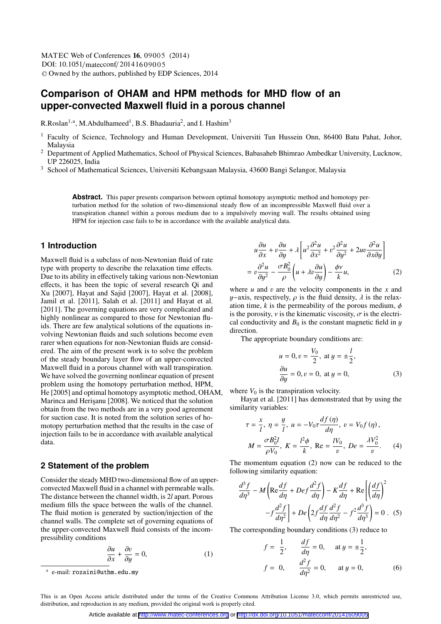DOI: 10.1051/matecconf/20141609005 © Owned by the authors, published by EDP Sciences, 2014 MATEC Web of Conferences 16, 09005 (2014)

# **Comparison of OHAM and HPM methods for MHD flow of an upper-convected Maxwell fluid in a porous channel**

R.Roslan<sup>1,a</sup>, M.Abdulhameed<sup>1</sup>, B.S. Bhadauria<sup>2</sup>, and I. Hashim<sup>3</sup>

- <sup>1</sup> Faculty of Science, Technology and Human Development, Universiti Tun Hussein Onn, 86400 Batu Pahat, Johor, Malaysia
- <sup>2</sup> Department of Applied Mathematics, School of Physical Sciences, Babasaheb Bhimrao Ambedkar University, Lucknow, UP 226025, India
- <sup>3</sup> School of Mathematical Sciences, Universiti Kebangsaan Malaysia, 43600 Bangi Selangor, Malaysia

**Abstract.** This paper presents comparison between optimal homotopy asymptotic method and homotopy perturbation method for the solution of two-dimensional steady flow of an incompressible Maxwell fluid over a transpiration channel within a porous medium due to a impulsively moving wall. The results obtained using HPM for injection case fails to be in accordance with the available analytical data.

## **1 Introduction**

Maxwell fluid is a subclass of non-Newtonian fluid of rate type with property to describe the relaxation time effects. Due to its ability in effectively taking various non-Newtonian effects, it has been the topic of several research Qi and Xu [2007], Hayat and Sajid [2007], Hayat et al. [2008], Jamil et al. [2011], Salah et al. [2011] and Hayat et al. [2011]. The governing equations are very complicated and highly nonlinear as compared to those for Newtonian fluids. There are few analytical solutions of the equations involving Newtonian fluids and such solutions become even rarer when equations for non-Newtonian fluids are considered. The aim of the present work is to solve the problem of the steady boundary layer flow of an upper-convected Maxwell fluid in a porous channel with wall transpiration. We have solved the governing nonlinear equation of present problem using the homotopy perturbation method, HPM, He [2005] and optimal homotopy asymptotic method, OHAM, Marinca and Herisanu [2008]. We noticed that the solution obtain from the two methods are in a very good agreement for suction case. It is noted from the solution series of homotopy perturbation method that the results in the case of injection fails to be in accordance with available analytical data.

#### **2 Statement of the problem**

Consider the steady MHD two-dimensional flow of an upperconvected Maxwell fluid in a channel with permeable walls. The distance between the channel width, is 2*l* apart. Porous medium fills the space between the walls of the channel. The fluid motion is generated by suction/injection of the channel walls. The complete set of governing equations of the upper-convected Maxwell fluid consists of the incompressibility conditions

$$
\frac{\partial u}{\partial x} + \frac{\partial v}{\partial y} = 0,\tag{1}
$$

$$
u\frac{\partial u}{\partial x} + v\frac{\partial u}{\partial y} + \lambda \left[ u^2 \frac{\partial^2 u}{\partial x^2} + v^2 \frac{\partial^2 u}{\partial y^2} + 2uv \frac{\partial^2 u}{\partial x \partial y} \right]
$$

$$
= v\frac{\partial^2 u}{\partial y^2} - \frac{\sigma B_0^2}{\rho} \left( u + \lambda v \frac{\partial u}{\partial y} \right) - \frac{\phi v}{k} u,
$$
(2)

where *u* and *v* are the velocity components in the *x* and *u*-axis respectively *o* is the fluid density *λ* is the relax $y$ –axis, respectively,  $\rho$  is the fluid density,  $\lambda$  is the relaxation time,  $k$  is the permeability of the porous medium,  $\phi$ is the porosity,  $\nu$  is the kinematic viscosity,  $\sigma$  is the electrical conductivity and  $B_0$  is the constant magnetic field in  $y$ direction.

The appropriate boundary conditions are:

$$
u = 0, v = \frac{V_0}{2}, \text{ at } y = \pm \frac{l}{2},
$$
  
\n $\frac{\partial u}{\partial y} = 0, v = 0, \text{ at } y = 0,$  (3)

where  $V_0$  is the transpiration velocity.

Hayat et al. [2011] has demonstrated that by using the similarity variables:

$$
\tau = \frac{x}{l}, \ \eta = \frac{y}{l}, \ u = -V_0 \tau \frac{df(\eta)}{d\eta}, \ v = V_0 f(\eta), \nM = \frac{\sigma B_0^2 l}{\rho V_0}, \ K = \frac{l^2 \phi}{k}, \ \text{Re} = \frac{lV_0}{v}, \ De = \frac{\lambda V_0^2}{v}.
$$
\n(4)

The momentum equation (2) now can be reduced to the following similarity equation:

$$
\frac{d^3 f}{d\eta^3} - M \left( \text{Re} \frac{df}{d\eta} + Def \frac{d^2 f}{d\eta} \right) - K \frac{df}{d\eta} + \text{Re} \left[ \left( \frac{df}{d\eta} \right)^2 - f \frac{d^2 f}{d\eta^2} \right] + D e \left( 2f \frac{df}{d\eta} \frac{d^2 f}{d\eta^2} - f^2 \frac{d^3 f}{d\eta^3} \right) = 0 \quad (5)
$$

The corresponding boundary conditions (3) reduce to

$$
f = \frac{1}{2}
$$
,  $\frac{df}{d\eta} = 0$ , at  $y = \pm \frac{1}{2}$ ,  
\n $f = 0$ ,  $\frac{d^2 f}{d\eta^2} = 0$ , at  $y = 0$ , (6)

<sup>a</sup> e-mail: rozaini@uthm.edu.my

This is an Open Access article distributed under the terms of the Creative Commons Attribution License 3.0, which permits unrestricted use, distribution, and reproduction in any medium, provided the original work is properly cited.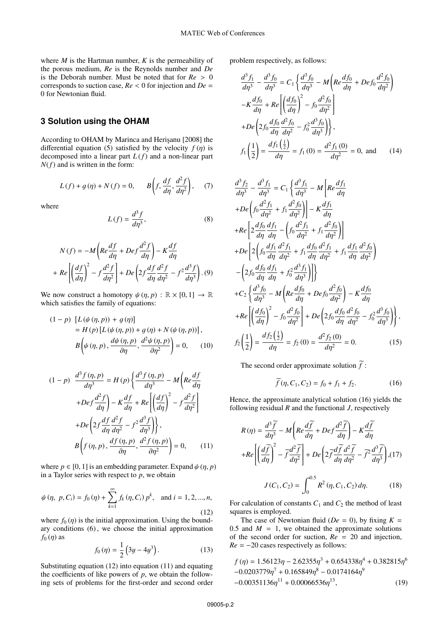where  $M$  is the Hartman number,  $K$  is the permeability of the porous medium, *Re* is the Reynolds number and *De* is the Deborah number. Must be noted that for *Re* > <sup>0</sup> corresponds to suction case, *Re* < 0 for injection and *De* <sup>=</sup> 0 for Newtonian fluid.

# **3 Solution using the OHAM**

According to OHAM by Marinca and Herişanu [2008] the differential equation (5) satisfied by the velocity  $f(\eta)$  is decomposed into a linear part *L* (*f*) and a non-linear part *N*(*f*) and is written in the form:

$$
L(f) + g(\eta) + N(f) = 0, \qquad B\left(f, \frac{df}{d\eta}, \frac{d^2f}{d\eta^2}\right), \tag{7}
$$

where

$$
L(f) = \frac{d^3 f}{d\eta^3},\tag{8}
$$

$$
N(f) = -M\left(Re\frac{df}{d\eta} + De f \frac{d^2f}{d\eta}\right) - K\frac{df}{d\eta}
$$

$$
+ Re\left[\left(\frac{df}{d\eta}\right)^2 - f \frac{d^2f}{d\eta^2}\right] + De\left(2f\frac{df}{d\eta}\frac{d^2f}{d\eta^2} - f^2\frac{d^3f}{d\eta^3}\right). (9)
$$

We now construct a homotopy  $\psi(\eta, p) : \mathbb{R} \times [0, 1] \to \mathbb{R}$ which satisfies the family of equations:

$$
(1-p) [L(\psi(\eta, p)) + g(\eta)]
$$
  
=  $H(p) [L(\psi(\eta, p)) + g(\eta) + N(\psi(\eta, p))],$   

$$
B(\psi(\eta, p), \frac{d\psi(\eta, p)}{\partial \eta}, \frac{d^2\psi(\eta, p)}{\partial \eta^2}) = 0,
$$
 (10)

$$
(1-p) \frac{d^3 f(\eta, p)}{d\eta^3} = H(p) \left\{ \frac{d^3 f(\eta, p)}{d\eta^3} - M \left( Re \frac{df}{d\eta} \right) \right\}
$$

$$
+ Def \frac{d^2 f}{d\eta} - K \frac{df}{d\eta} + Re \left[ \left( \frac{df}{d\eta} \right)^2 - f \frac{d^2 f}{d\eta^2} \right]
$$

$$
+ De \left( 2f \frac{df}{d\eta} \frac{d^2 f}{d\eta^2} - f^2 \frac{d^3 f}{d\eta^3} \right) \right\},
$$

$$
B \left( f(\eta, p), \frac{df(\eta, p)}{\partial \eta}, \frac{d^2 f(\eta, p)}{\partial \eta^2} \right) = 0, \qquad (11)
$$

where  $p \in [0, 1]$  is an embedding parameter. Expand  $\psi(\eta, p)$ in a Taylor series with respect to *<sup>p</sup>*, we obtain

$$
\psi(\eta, p, C_i) = f_0(\eta) + \sum_{k=1}^{\infty} f_k(\eta, C_i) p^k, \text{ and } i = 1, 2, ..., n,
$$
\n(12)

where  $f_0(\eta)$  is the initial approximation. Using the boundary conditions (6) , we choose the initial approximation  $f_0(\eta)$  as

$$
f_0(\eta) = \frac{1}{2} (3y - 4y^3).
$$
 (13)

Substituting equation (12) into equation (11) and equating the coefficients of like powers of  $p$ , we obtain the following sets of problems for the first-order and second order problem respectively, as follows:

$$
\frac{d^3 f_1}{d\eta^3} - \frac{d^3 f_0}{d\eta^3} = C_1 \left\{ \frac{d^3 f_0}{d\eta^3} - M \left( Re \frac{df_0}{d\eta} + De f_0 \frac{d^2 f_0}{d\eta^2} \right) \right\}
$$

$$
-K \frac{df_0}{d\eta} + Re \left[ \left( \frac{df_0}{d\eta} \right)^2 - f_0 \frac{d^2 f_0}{d\eta^2} \right]
$$

$$
+ De \left( 2f_0 \frac{df_0}{d\eta} \frac{d^2 f_0}{d\eta^2} - f_0^2 \frac{d^3 f_0}{d\eta^3} \right) \right\},
$$

$$
f_1 \left( \frac{1}{2} \right) = \frac{df_1 \left( \frac{1}{2} \right)}{d\eta} = f_1 (0) = \frac{d^2 f_1 (0)}{d\eta^2} = 0, \text{ and } (14)
$$

$$
\frac{d^3 f_2}{d\eta^3} - \frac{d^3 f_1}{d\eta^3} = C_1 \left\{ \frac{d^3 f_1}{d\eta^3} - M \left[ Re \frac{df_1}{d\eta} \right. \n+ De \left( f_0 \frac{d^2 f_1}{d\eta^2} + f_1 \frac{d^2 f_0}{d\eta^2} \right) \right] - K \frac{df_1}{d\eta} \n+ Re \left[ 2 \frac{df_0}{d\eta} \frac{df_1}{d\eta} - \left( f_0 \frac{d^2 f_1}{d\eta^2} + f_1 \frac{d^2 f_0}{d\eta^2} \right) \right] \n+ De \left[ 2 \left( f_0 \frac{df_1}{d\eta} \frac{d^2 f_1}{d\eta^2} + f_1 \frac{df_0}{d\eta} \frac{d^2 f_1}{d\eta^2} + f_1 \frac{df_1}{d\eta} \frac{d^2 f_0}{d\eta^2} \right) \right] \n- \left( 2 f_0 \frac{df_0}{d\eta} \frac{df_1}{d\eta} + f_0^2 \frac{d^3 f_1}{d\eta^3} \right) \right\} \n+ C_2 \left\{ \frac{d^3 f_0}{d\eta^3} - M \left( Re \frac{df_0}{d\eta} + De f_0 \frac{d^2 f_0}{d\eta^2} \right) - K \frac{df_0}{d\eta} \n+ Re \left[ \left( \frac{df_0}{d\eta} \right)^2 - f_0 \frac{d^2 f_0}{d\eta^2} \right] + De \left( 2 f_0 \frac{df_0}{d\eta} \frac{d^2 f_0}{d\eta^2} - f_0^2 \frac{d^3 f_0}{d\eta^3} \right) \right\}, \n f_2 \left( \frac{1}{2} \right) = \frac{df_2 \left( \frac{1}{2} \right)}{d\eta} = f_2 (0) = \frac{d^2 f_2 (0)}{d\eta^2} = 0.
$$
\n(15)

The second order approximate solution  $\tilde{f}$ :

$$
\widetilde{f}(\eta, C_1, C_2) = f_0 + f_1 + f_2. \tag{16}
$$

Hence, the approximate analytical solution (16) yields the following residual *R* and the functional *J*, respectively

$$
R(\eta) = \frac{d^3 \widetilde{f}}{d\eta^3} - M \left( Re \frac{d\widetilde{f}}{d\eta} + De f \frac{d^2 \widetilde{f}}{d\eta} \right) - K \frac{d\widetilde{f}}{d\eta}
$$
  
+
$$
Re \left[ \left( \frac{d\widetilde{f}}{d\eta} \right)^2 - \widetilde{f} \frac{d^2 \widetilde{f}}{d\eta^2} \right] + De \left( 2 \widetilde{f} \frac{d\widetilde{f}}{d\eta} \frac{d^2 \widetilde{f}}{d\eta^2} - \widetilde{f}^2 \frac{d^3 \widetilde{f}}{d\eta^3} \right), (17)
$$
  

$$
J(C_1, C_2) = \int_0^{0.5} R^2(\eta, C_1, C_2) d\eta. \tag{18}
$$

For calculation of constants  $C_1$  and  $C_2$  the method of least squares is employed.

The case of Newtonian fluid ( $De = 0$ ), by fixing  $K =$ 0.5 and  $M = 1$ , we obtained the approximate solutions of the second order for suction, *Re* = 20 and injection,  $Re = -20$  cases respectively as follows:

$$
f(\eta) = 1.56123\eta - 2.62355\eta^3 + 0.654338\eta^4 + 0.382815\eta^6 -0.0203779\eta^7 + 0.165849\eta^8 - 0.0174164\eta^9 -0.00351136\eta^{11} + 0.00066536\eta^{13},
$$
 (19)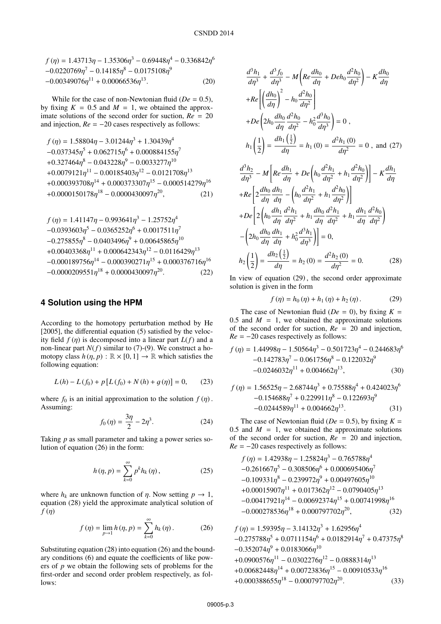$$
f(\eta) = 1.43713\eta - 1.35306\eta^3 - 0.69448\eta^4 - 0.336842\eta^6 -0.0220769\eta^7 - 0.14185\eta^8 - 0.0175108\eta^9 -0.00349076\eta^{11} + 0.00066536\eta^{13}.
$$
 (20)

While for the case of non-Newtonian fluid ( $De = 0.5$ ), by fixing  $K = 0.5$  and  $M = 1$ , we obtained the approximate solutions of the second order for suction, *Re* = 20 and injection, *Re* <sup>=</sup> <sup>−</sup>20 cases respectively as follows:

$$
f(\eta) = 1.58804\eta - 3.01244\eta^{3} + 1.30439\eta^{4}
$$
  
-0.037345 $\eta^{5}$  + 0.062715 $\eta^{6}$  + 0.000884155 $\eta^{7}$   
+0.327464 $\eta^{8}$  - 0.043228 $\eta^{9}$  - 0.0033277 $\eta^{10}$   
+0.0079121 $\eta^{11}$  - 0.00185403 $\eta^{12}$  - 0.0121708 $\eta^{13}$   
+0.000393708 $\eta^{14}$  + 0.000373307 $\eta^{15}$  - 0.000514279 $\eta^{16}$   
+0.0000150178 $\eta^{18}$  - 0.0000430097 $\eta^{20}$ , (21)

$$
f(\eta) = 1.41147\eta - 0.993641\eta^3 - 1.25752\eta^4
$$
  
-0.0393603\eta^5 - 0.0365252\eta^6 + 0.0017511\eta^7  
-0.275855\eta^8 - 0.0403496\eta^9 + 0.00645865\eta^{10}  
+0.00403368\eta^{11} + 0.000642343\eta^{12} - 0.0116429\eta^{13}  
-0.000189756\eta^{14} - 0.000390271\eta^{15} + 0.000376716\eta^{16}  
-0.0000209551\eta^{18} + 0.0000430097\eta^{20}. (22)

#### **4 Solution using the HPM**

According to the homotopy perturbation method by He [2005], the differential equation (5) satisfied by the velocity field  $f(\eta)$  is decomposed into a linear part  $L(f)$  and a non-linear part  $N(f)$  similar to (7)-(9). We construct a homotopy class  $h(\eta, p) : \mathbb{R} \times [0, 1] \to \mathbb{R}$  which satisfies the following equation:

$$
L(h) - L(f_0) + p [L(f_0) + N(h) + g(\eta)] = 0, \qquad (23)
$$

where  $f_0$  is an initial approximation to the solution  $f(\eta)$ . Assuming:

$$
f_0(\eta) = \frac{3\eta}{2} - 2\eta^3. \tag{24}
$$

Taking *p* as small parameter and taking a power series solution of equation (26) in the form:

$$
h(\eta, p) = \sum_{k=0}^{\infty} p^k h_k(\eta), \qquad (25)
$$

where  $h_k$  are unknown function of  $\eta$ . Now setting  $p \to 1$ , equation (28) yield the approximate analytical solution of *f* (η)

$$
f(\eta) = \lim_{p \to 1} h(\eta, p) = \sum_{k=0}^{\infty} h_k(\eta).
$$
 (26)

Substituting equation (28) into equation (26) and the boundary conditions (6) and equate the coefficients of like powers of *p* we obtain the following sets of problems for the first-order and second order problem respectively, as follows:

$$
\frac{d^3h_1}{d\eta^3} + \frac{d^3f_0}{d\eta^3} - M\left(Re\frac{dh_0}{d\eta} + Deh_0\frac{d^2h_0}{d\eta^2}\right) - K\frac{dh_0}{d\eta}
$$
  
+ $Re\left[\left(\frac{dh_0}{d\eta}\right)^2 - h_0\frac{d^2h_0}{d\eta^2}\right]$   
+ $De\left(2h_0\frac{dh_0}{d\eta}\frac{d^2h_0}{d\eta^2} - h_0^2\frac{d^3h_0}{d\eta^3}\right) = 0$ ,  
 $h_1\left(\frac{1}{2}\right) = \frac{dh_1\left(\frac{1}{2}\right)}{d\eta} = h_1(0) = \frac{d^2h_1(0)}{d\eta^2} = 0$ , and (27)  
 $\frac{d^3h_2}{d\eta^3} - M\left[Re\frac{dh_1}{d\eta} + De\left(h_0\frac{d^2h_1}{d\eta^2} + h_1\frac{d^2h_0}{d\eta^2}\right)\right] - K\frac{dh_1}{d\eta}$   
+ $Re\left[2\frac{dh_0}{d\eta}\frac{dh_1}{d\eta} - \left(h_0\frac{d^2h_1}{d\eta^2} + h_1\frac{d^2h_0}{d\eta^2}\right)\right]$   
+ $De\left[2\left(h_0\frac{dh_1}{d\eta}\frac{d^2h_1}{d\eta^2} + h_1\frac{dh_0}{d\eta}\frac{d^2h_1}{d\eta^2} + h_1\frac{dh_1}{d\eta}\frac{d^2h_0}{d\eta^2}\right)$   
- $\left(2h_0\frac{dh_0}{d\eta}\frac{dh_1}{d\eta} + h_0^2\frac{d^3h_1}{d\eta^3}\right)\right] = 0$ ,  
 $h_2\left(\frac{1}{2}\right) = \frac{dh_2\left(\frac{1}{2}\right)}{d\eta} = h_2(0) = \frac{d^2h_2(0)}{d\eta^2} = 0$ . (28)

In view of equation (29), the second order approximate solution is given in the form

$$
f(\eta) = h_0(\eta) + h_1(\eta) + h_2(\eta). \tag{29}
$$

The case of Newtonian fluid ( $De = 0$ ), by fixing  $K =$ 0.5 and  $M = 1$ , we obtained the approximate solutions of the second order for suction, *Re* = 20 and injection,  $Re = -20$  cases respectively as follows:

$$
f(\eta) = 1.44998\eta - 1.50564\eta^3 - 0.501723\eta^4 - 0.244683\eta^6 -0.142783\eta^7 - 0.061756\eta^8 - 0.122032\eta^9 -0.0246032\eta^{11} + 0.004662\eta^{13},
$$
 (30)

$$
f(\eta) = 1.56525\eta - 2.68744\eta^3 + 0.75588\eta^4 + 0.424023\eta^6 -0.154688\eta^7 + 0.229911\eta^8 - 0.122693\eta^9 -0.0244589\eta^{11} + 0.004662\eta^{13}.
$$
 (31)

The case of Newtonian fluid ( $De = 0.5$ ), by fixing  $K =$ 0.5 and  $M = 1$ , we obtained the approximate solutions of the second order for suction, *Re* = 20 and injection,  $Re = -20$  cases respectively as follows:

$$
f(\eta) = 1.42938\eta - 1.25824\eta^3 - 0.765788\eta^4 -0.261667\eta^5 - 0.308506\eta^6 + 0.000695406\eta^7 -0.109331\eta^8 - 0.239972\eta^9 + 0.00497605\eta^{10} +0.00015907\eta^{11} + 0.017362\eta^{12} - 0.0790405\eta^{13} -0.00417921\eta^{14} - 0.00692374\eta^{15} + 0.00741998\eta^{16} -0.000278536\eta^{18} + 0.000797702\eta^{20},
$$
\n(32)

$$
f(\eta) = 1.59395\eta - 3.14132\eta^3 + 1.62956\eta^4
$$
  
\n
$$
-0.275788\eta^5 + 0.0711154\eta^6 + 0.0182914\eta^7 + 0.47375\eta^8
$$
  
\n
$$
-0.352074\eta^9 + 0.0183066\eta^{10}
$$
  
\n
$$
+0.0900576\eta^{11} - 0.0302276\eta^{12} - 0.0888314\eta^{13}
$$
  
\n
$$
+0.00682448\eta^{14} + 0.00723836\eta^{15} - 0.00910533\eta^{16}
$$
  
\n
$$
+0.000388655\eta^{18} - 0.000797702\eta^{20}.
$$
  
\n(33)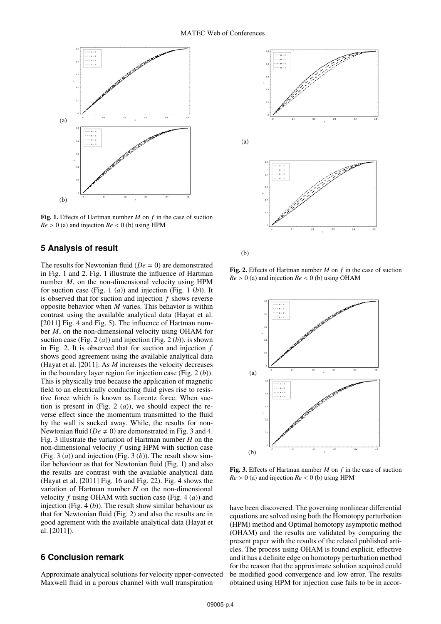

Fig. 1. Effects of Hartman number *M* on *f* in the case of suction  $Re > 0$  (a) and injection  $Re < 0$  (b) using HPM

# **5 Analysis of result**

The results for Newtonian fluid (*De* = 0) are demonstrated in Fig. 1 and 2. Fig. 1 illustrate the influence of Hartman number *M*, on the non-dimensional velocity using HPM for suction case (Fig. 1 (*a*)) and injection (Fig. 1 (*b*)). It is observed that for suction and injection *f* shows reverse opposite behavior when *M* varies. This behavior is within contrast using the available analytical data (Hayat et al. [2011] Fig. 4 and Fig. 5). The influence of Hartman number *M*, on the non-dimensional velocity using OHAM for suction case (Fig. 2  $(a)$ ) and injection (Fig. 2  $(b)$ ). is shown in Fig. 2. It is observed that for suction and injection *f* shows good agreement using the available analytical data (Hayat et al. [2011]. As *M* increases the velocity decreases in the boundary layer region for injection case (Fig. 2 (*b*)). This is physically true because the application of magnetic field to an electrically conducting fluid gives rise to resistive force which is known as Lorentz force. When suction is present in (Fig. 2 (*a*)), we should expect the reverse effect since the momentum transmitted to the fluid by the wall is sucked away. While, the results for non-Newtonian fluid ( $De \neq 0$ ) are demonstrated in Fig. 3 and 4. Fig. 3 illustrate the variation of Hartman number *H* on the non-dimensional velocity *f* using HPM with suction case (Fig. 3 (*a*)) and injection (Fig. 3 (*b*)). The result show similar behaviour as that for Newtonian fluid (Fig. 1) and also the results are contrast with the available analytical data (Hayat et al. [2011] Fig. 16 and Fig. 22). Fig. 4 shows the variation of Hartman number *H* on the non-dimensional velocity *f* using OHAM with suction case (Fig. 4 (*a*)) and injection (Fig. 4 (*b*)). The result show similar behaviour as that for Newtonian fluid (Fig. 2) and also the results are in good agrement with the available analytical data (Hayat et al. [2011]).

#### **6 Conclusion remark**

Approximate analytical solutions for velocity upper-convected Maxwell fluid in a porous channel with wall transpiration



(b)

Fig. 2. Effects of Hartman number *M* on *f* in the case of suction  $Re > 0$  (a) and injection  $Re < 0$  (b) using OHAM



Fig. 3. Effects of Hartman number *M* on *f* in the case of suction  $Re > 0$  (a) and injection  $Re < 0$  (b) using HPM

have been discovered. The governing nonlinear differential equations are solved using both the Homotopy perturbation (HPM) method and Optimal homotopy asymptotic method (OHAM) and the results are validated by comparing the present paper with the results of the related published articles. The process using OHAM is found explicit, effective and it has a definite edge on homotopy perturbation method for the reason that the approximate solution acquired could be modified good convergence and low error. The results obtained using HPM for injection case fails to be in accor-